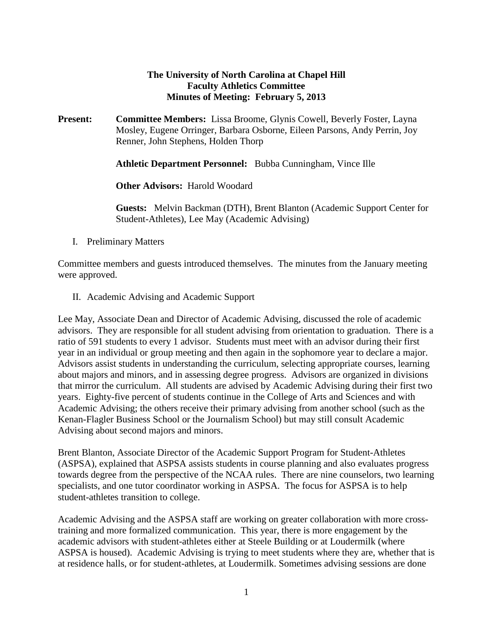## **The University of North Carolina at Chapel Hill Faculty Athletics Committee Minutes of Meeting: February 5, 2013**

**Present: Committee Members:** Lissa Broome, Glynis Cowell, Beverly Foster, Layna Mosley, Eugene Orringer, Barbara Osborne, Eileen Parsons, Andy Perrin, Joy Renner, John Stephens, Holden Thorp

**Athletic Department Personnel:** Bubba Cunningham, Vince Ille

**Other Advisors:** Harold Woodard

**Guests:** Melvin Backman (DTH), Brent Blanton (Academic Support Center for Student-Athletes), Lee May (Academic Advising)

I. Preliminary Matters

Committee members and guests introduced themselves. The minutes from the January meeting were approved.

II. Academic Advising and Academic Support

Lee May, Associate Dean and Director of Academic Advising, discussed the role of academic advisors. They are responsible for all student advising from orientation to graduation. There is a ratio of 591 students to every 1 advisor. Students must meet with an advisor during their first year in an individual or group meeting and then again in the sophomore year to declare a major. Advisors assist students in understanding the curriculum, selecting appropriate courses, learning about majors and minors, and in assessing degree progress. Advisors are organized in divisions that mirror the curriculum. All students are advised by Academic Advising during their first two years. Eighty-five percent of students continue in the College of Arts and Sciences and with Academic Advising; the others receive their primary advising from another school (such as the Kenan-Flagler Business School or the Journalism School) but may still consult Academic Advising about second majors and minors.

Brent Blanton, Associate Director of the Academic Support Program for Student-Athletes (ASPSA), explained that ASPSA assists students in course planning and also evaluates progress towards degree from the perspective of the NCAA rules. There are nine counselors, two learning specialists, and one tutor coordinator working in ASPSA. The focus for ASPSA is to help student-athletes transition to college.

Academic Advising and the ASPSA staff are working on greater collaboration with more crosstraining and more formalized communication. This year, there is more engagement by the academic advisors with student-athletes either at Steele Building or at Loudermilk (where ASPSA is housed). Academic Advising is trying to meet students where they are, whether that is at residence halls, or for student-athletes, at Loudermilk. Sometimes advising sessions are done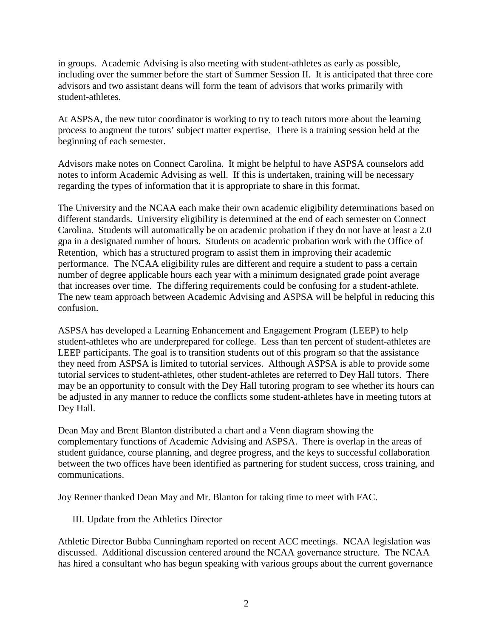in groups. Academic Advising is also meeting with student-athletes as early as possible, including over the summer before the start of Summer Session II. It is anticipated that three core advisors and two assistant deans will form the team of advisors that works primarily with student-athletes.

At ASPSA, the new tutor coordinator is working to try to teach tutors more about the learning process to augment the tutors' subject matter expertise. There is a training session held at the beginning of each semester.

Advisors make notes on Connect Carolina. It might be helpful to have ASPSA counselors add notes to inform Academic Advising as well. If this is undertaken, training will be necessary regarding the types of information that it is appropriate to share in this format.

The University and the NCAA each make their own academic eligibility determinations based on different standards. University eligibility is determined at the end of each semester on Connect Carolina. Students will automatically be on academic probation if they do not have at least a 2.0 gpa in a designated number of hours. Students on academic probation work with the Office of Retention, which has a structured program to assist them in improving their academic performance. The NCAA eligibility rules are different and require a student to pass a certain number of degree applicable hours each year with a minimum designated grade point average that increases over time. The differing requirements could be confusing for a student-athlete. The new team approach between Academic Advising and ASPSA will be helpful in reducing this confusion.

ASPSA has developed a Learning Enhancement and Engagement Program (LEEP) to help student-athletes who are underprepared for college. Less than ten percent of student-athletes are LEEP participants. The goal is to transition students out of this program so that the assistance they need from ASPSA is limited to tutorial services. Although ASPSA is able to provide some tutorial services to student-athletes, other student-athletes are referred to Dey Hall tutors. There may be an opportunity to consult with the Dey Hall tutoring program to see whether its hours can be adjusted in any manner to reduce the conflicts some student-athletes have in meeting tutors at Dey Hall.

Dean May and Brent Blanton distributed a chart and a Venn diagram showing the complementary functions of Academic Advising and ASPSA. There is overlap in the areas of student guidance, course planning, and degree progress, and the keys to successful collaboration between the two offices have been identified as partnering for student success, cross training, and communications.

Joy Renner thanked Dean May and Mr. Blanton for taking time to meet with FAC.

III. Update from the Athletics Director

Athletic Director Bubba Cunningham reported on recent ACC meetings. NCAA legislation was discussed. Additional discussion centered around the NCAA governance structure. The NCAA has hired a consultant who has begun speaking with various groups about the current governance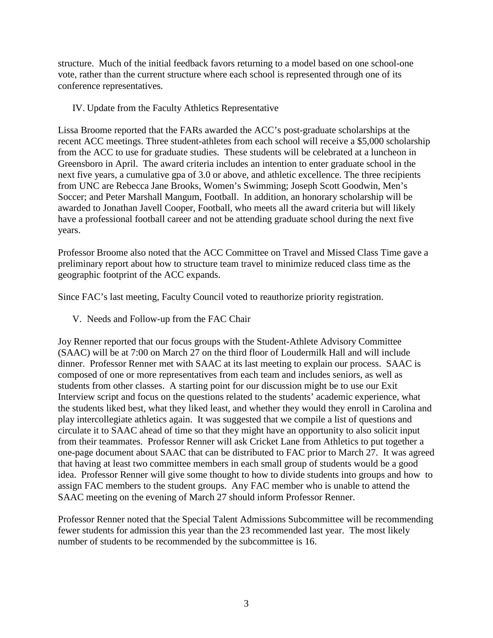structure. Much of the initial feedback favors returning to a model based on one school-one vote, rather than the current structure where each school is represented through one of its conference representatives.

## IV. Update from the Faculty Athletics Representative

Lissa Broome reported that the FARs awarded the ACC's post-graduate scholarships at the recent ACC meetings. Three student-athletes from each school will receive a \$5,000 scholarship from the ACC to use for graduate studies. These students will be celebrated at a luncheon in Greensboro in April. The award criteria includes an intention to enter graduate school in the next five years, a cumulative gpa of 3.0 or above, and athletic excellence. The three recipients from UNC are Rebecca Jane Brooks, Women's Swimming; Joseph Scott Goodwin, Men's Soccer; and Peter Marshall Mangum, Football. In addition, an honorary scholarship will be awarded to Jonathan Javell Cooper, Football, who meets all the award criteria but will likely have a professional football career and not be attending graduate school during the next five years.

Professor Broome also noted that the ACC Committee on Travel and Missed Class Time gave a preliminary report about how to structure team travel to minimize reduced class time as the geographic footprint of the ACC expands.

Since FAC's last meeting, Faculty Council voted to reauthorize priority registration.

V. Needs and Follow-up from the FAC Chair

Joy Renner reported that our focus groups with the Student-Athlete Advisory Committee (SAAC) will be at 7:00 on March 27 on the third floor of Loudermilk Hall and will include dinner. Professor Renner met with SAAC at its last meeting to explain our process. SAAC is composed of one or more representatives from each team and includes seniors, as well as students from other classes. A starting point for our discussion might be to use our Exit Interview script and focus on the questions related to the students' academic experience, what the students liked best, what they liked least, and whether they would they enroll in Carolina and play intercollegiate athletics again. It was suggested that we compile a list of questions and circulate it to SAAC ahead of time so that they might have an opportunity to also solicit input from their teammates. Professor Renner will ask Cricket Lane from Athletics to put together a one-page document about SAAC that can be distributed to FAC prior to March 27. It was agreed that having at least two committee members in each small group of students would be a good idea. Professor Renner will give some thought to how to divide students into groups and how to assign FAC members to the student groups. Any FAC member who is unable to attend the SAAC meeting on the evening of March 27 should inform Professor Renner.

Professor Renner noted that the Special Talent Admissions Subcommittee will be recommending fewer students for admission this year than the 23 recommended last year. The most likely number of students to be recommended by the subcommittee is 16.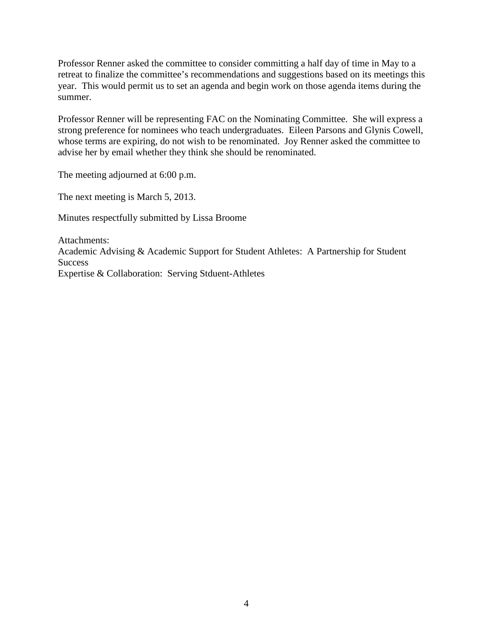Professor Renner asked the committee to consider committing a half day of time in May to a retreat to finalize the committee's recommendations and suggestions based on its meetings this year. This would permit us to set an agenda and begin work on those agenda items during the summer.

Professor Renner will be representing FAC on the Nominating Committee. She will express a strong preference for nominees who teach undergraduates. Eileen Parsons and Glynis Cowell, whose terms are expiring, do not wish to be renominated. Joy Renner asked the committee to advise her by email whether they think she should be renominated.

The meeting adjourned at 6:00 p.m.

The next meeting is March 5, 2013.

Minutes respectfully submitted by Lissa Broome

Attachments: Academic Advising & Academic Support for Student Athletes: A Partnership for Student Success Expertise & Collaboration: Serving Stduent-Athletes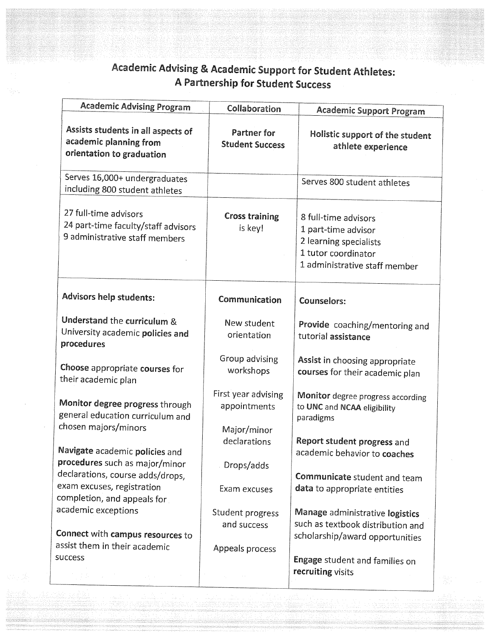## Academic Advising & Academic Support for Student Athletes: A Partnership for Student Success

| <b>Academic Advising Program</b>                                                               | Collaboration                                      | <b>Academic Support Program</b>                                                                                               |
|------------------------------------------------------------------------------------------------|----------------------------------------------------|-------------------------------------------------------------------------------------------------------------------------------|
| Assists students in all aspects of<br>academic planning from<br>orientation to graduation      | <b>Partner for</b><br><b>Student Success</b>       | Holistic support of the student<br>athlete experience                                                                         |
| Serves 16,000+ undergraduates<br>including 800 student athletes                                |                                                    | Serves 800 student athletes                                                                                                   |
| 27 full-time advisors<br>24 part-time faculty/staff advisors<br>9 administrative staff members | <b>Cross training</b><br>is key!                   | 8 full-time advisors<br>1 part-time advisor<br>2 learning specialists<br>1 tutor coordinator<br>1 administrative staff member |
| Advisors help students:                                                                        | Communication                                      | <b>Counselors:</b>                                                                                                            |
| Understand the curriculum &<br>University academic policies and<br>procedures                  | New student<br>orientation                         | Provide coaching/mentoring and<br>tutorial assistance                                                                         |
| Choose appropriate courses for<br>their academic plan                                          | Group advising<br>workshops                        | Assist in choosing appropriate<br>courses for their academic plan                                                             |
| Monitor degree progress through<br>general education curriculum and<br>chosen majors/minors    | First year advising<br>appointments<br>Major/minor | <b>Monitor</b> degree progress according<br>to UNC and NCAA eligibility<br>paradigms                                          |
| Navigate academic policies and<br>procedures such as major/minor                               | declarations<br>Drops/adds                         | Report student progress and<br>academic behavior to coaches                                                                   |
| declarations, course adds/drops,<br>exam excuses, registration<br>completion, and appeals for  | Exam excuses                                       | Communicate student and team<br>data to appropriate entities                                                                  |
| academic exceptions<br>Connect with campus resources to                                        | Student progress<br>and success                    | Manage administrative logistics<br>such as textbook distribution and<br>scholarship/award opportunities                       |
| assist them in their academic<br>success                                                       | Appeals process                                    | Engage student and families on<br>recruiting visits                                                                           |
| ing Alberta (1991)<br>Serial de la Seria (1991)                                                |                                                    |                                                                                                                               |